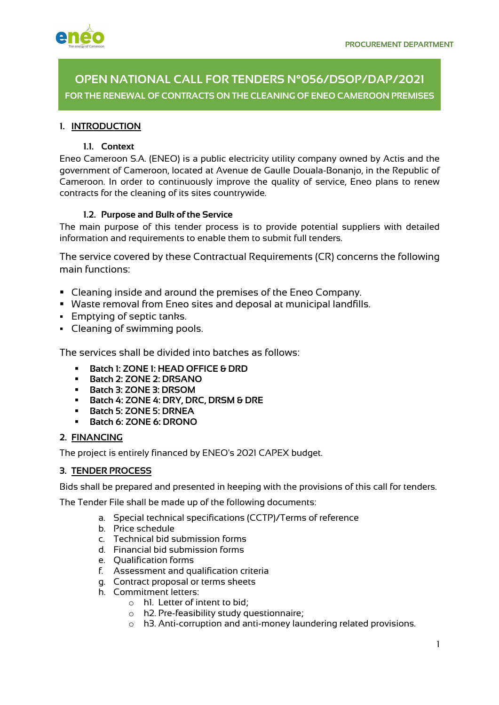

**OPEN NATIONAL CALL FOR TENDERS N°056/DSOP/DAP/2021 FOR THE RENEWAL OF CONTRACTS ON THE CLEANING OF ENEO CAMEROON PREMISES**

# **1. INTRODUCTION**

## **1.1. Context**

Eneo Cameroon S.A. (ENEO) is a public electricity utility company owned by Actis and the government of Cameroon, located at Avenue de Gaulle Douala-Bonanjo, in the Republic of Cameroon. In order to continuously improve the quality of service, Eneo plans to renew contracts for the cleaning of its sites countrywide.

## **1.2. Purpose and Bulk of the Service**

The main purpose of this tender process is to provide potential suppliers with detailed information and requirements to enable them to submit full tenders.

The service covered by these Contractual Requirements (CR) concerns the following main functions:

- Cleaning inside and around the premises of the Eneo Company.
- § Waste removal from Eneo sites and deposal at municipal landfills.
- § Emptying of septic tanks.
- Cleaning of swimming pools.

The services shall be divided into batches as follows:

- § **Batch 1: ZONE 1: HEAD OFFICE & DRD**
- § **Batch 2: ZONE 2: DRSANO**
- § **Batch 3: ZONE 3: DRSOM**
- § **Batch 4: ZONE 4: DRY, DRC, DRSM & DRE**
- § **Batch 5: ZONE 5: DRNEA**
- § **Batch 6: ZONE 6: DRONO**

## **2. FINANCING**

The project is entirely financed by ENEO's 2021 CAPEX budget.

## **3. TENDER PROCESS**

Bids shall be prepared and presented in keeping with the provisions of this call for tenders.

The Tender File shall be made up of the following documents:

- a. Special technical specifications (CCTP)/Terms of reference
- b. Price schedule
- c. Technical bid submission forms
- d. Financial bid submission forms
- e. Qualification forms
- f. Assessment and qualification criteria
- g. Contract proposal or terms sheets
- h. Commitment letters:
	- o h1. Letter of intent to bid;
	- o h2. Pre-feasibility study questionnaire;
	- o h3. Anti-corruption and anti-money laundering related provisions.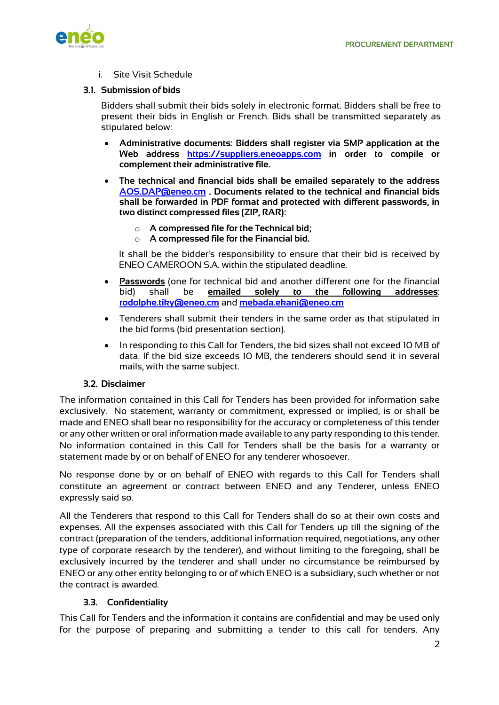

i. Site Visit Schedule

## **3.1. Submission of bids**

Bidders shall submit their bids solely in electronic format. Bidders shall be free to present their bids in English or French. Bids shall be transmitted separately as stipulated below:

- **Administrative documents: Bidders shall register via SMP application at the Web address https://suppliers.eneoapps.com in order to compile or complement their administrative file.**
- **The technical and financial bids shall be emailed separately to the address AOS.DAP@eneo.cm . Documents related to the technical and financial bids shall be forwarded in PDF format and protected with different passwords, in two distinct compressed files (ZIP, RAR):** 
	- o **A compressed file for the Technical bid;**
	- o **A compressed file for the Financial bid.**

It shall be the bidder's responsibility to ensure that their bid is received by ENEO CAMEROON S.A. within the stipulated deadline.

- **Passwords** (one for technical bid and another different one for the financial bid) shall be **emailed solely to the following addresses**: **rodolphe.tiky@eneo.cm** and **mebada.ekani@eneo.cm**
- Tenderers shall submit their tenders in the same order as that stipulated in the bid forms (bid presentation section).
- In responding to this Call for Tenders, the bid sizes shall not exceed 10 MB of data. If the bid size exceeds 10 MB, the tenderers should send it in several mails, with the same subject.

## **3.2. Disclaimer**

The information contained in this Call for Tenders has been provided for information sake exclusively. No statement, warranty or commitment, expressed or implied, is or shall be made and ENEO shall bear no responsibility for the accuracy or completeness of this tender or any other written or oral information made available to any party responding to this tender. No information contained in this Call for Tenders shall be the basis for a warranty or statement made by or on behalf of ENEO for any tenderer whosoever.

No response done by or on behalf of ENEO with regards to this Call for Tenders shall constitute an agreement or contract between ENEO and any Tenderer, unless ENEO expressly said so.

All the Tenderers that respond to this Call for Tenders shall do so at their own costs and expenses. All the expenses associated with this Call for Tenders up till the signing of the contract (preparation of the tenders, additional information required, negotiations, any other type of corporate research by the tenderer), and without limiting to the foregoing, shall be exclusively incurred by the tenderer and shall under no circumstance be reimbursed by ENEO or any other entity belonging to or of which ENEO is a subsidiary, such whether or not the contract is awarded.

## **3.3. Confidentiality**

This Call for Tenders and the information it contains are confidential and may be used only for the purpose of preparing and submitting a tender to this call for tenders. Any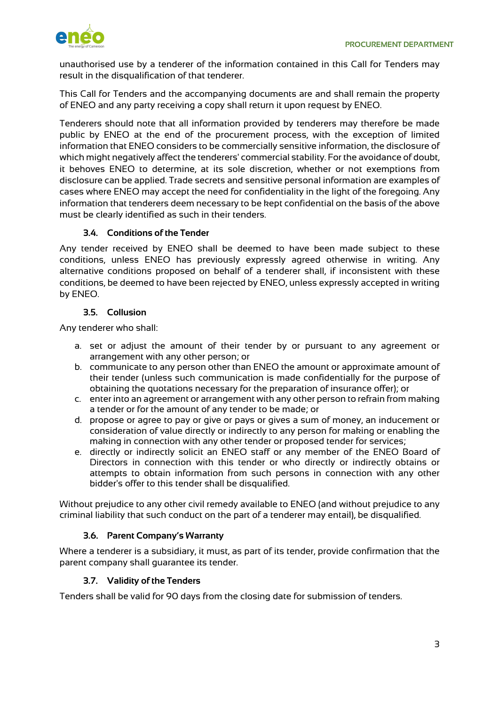

unauthorised use by a tenderer of the information contained in this Call for Tenders may result in the disqualification of that tenderer.

This Call for Tenders and the accompanying documents are and shall remain the property of ENEO and any party receiving a copy shall return it upon request by ENEO.

Tenderers should note that all information provided by tenderers may therefore be made public by ENEO at the end of the procurement process, with the exception of limited information that ENEO considers to be commercially sensitive information, the disclosure of which might negatively affect the tenderers' commercial stability. For the avoidance of doubt, it behoves ENEO to determine, at its sole discretion, whether or not exemptions from disclosure can be applied. Trade secrets and sensitive personal information are examples of cases where ENEO may accept the need for confidentiality in the light of the foregoing. Any information that tenderers deem necessary to be kept confidential on the basis of the above must be clearly identified as such in their tenders.

## **3.4. Conditions of the Tender**

Any tender received by ENEO shall be deemed to have been made subject to these conditions, unless ENEO has previously expressly agreed otherwise in writing. Any alternative conditions proposed on behalf of a tenderer shall, if inconsistent with these conditions, be deemed to have been rejected by ENEO, unless expressly accepted in writing by ENEO.

## **3.5. Collusion**

Any tenderer who shall:

- a. set or adjust the amount of their tender by or pursuant to any agreement or arrangement with any other person; or
- b. communicate to any person other than ENEO the amount or approximate amount of their tender (unless such communication is made confidentially for the purpose of obtaining the quotations necessary for the preparation of insurance offer); or
- c. enter into an agreement or arrangement with any other person to refrain from making a tender or for the amount of any tender to be made; or
- d. propose or agree to pay or give or pays or gives a sum of money, an inducement or consideration of value directly or indirectly to any person for making or enabling the making in connection with any other tender or proposed tender for services;
- e. directly or indirectly solicit an ENEO staff or any member of the ENEO Board of Directors in connection with this tender or who directly or indirectly obtains or attempts to obtain information from such persons in connection with any other bidder's offer to this tender shall be disqualified.

Without prejudice to any other civil remedy available to ENEO (and without prejudice to any criminal liability that such conduct on the part of a tenderer may entail), be disqualified.

## **3.6. Parent Company's Warranty**

Where a tenderer is a subsidiary, it must, as part of its tender, provide confirmation that the parent company shall guarantee its tender.

## **3.7. Validity of the Tenders**

Tenders shall be valid for 90 days from the closing date for submission of tenders.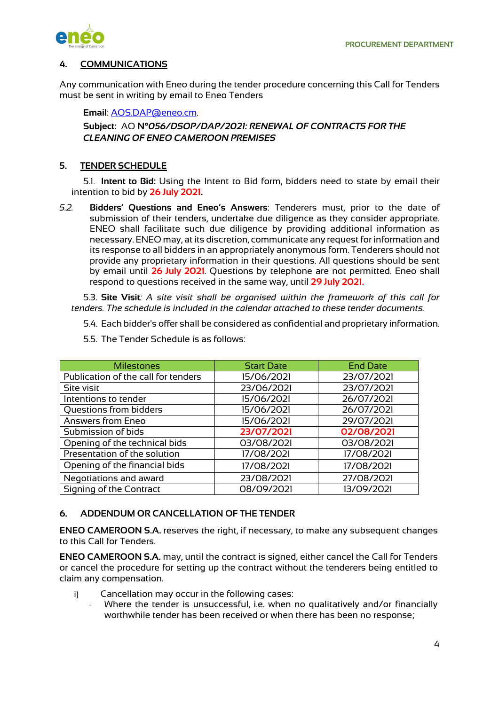

# **4. COMMUNICATIONS**

Any communication with Eneo during the tender procedure concerning this Call for Tenders must be sent in writing by email to Eneo Tenders

**Email**: AOS.DAP@eneo.cm.

# **Subject:** AO **N°***056/DSOP/DAP/2021: RENEWAL OF CONTRACTS FOR THE CLEANING OF ENEO CAMEROON PREMISES*

## **5. TENDER SCHEDULE**

5.1. **Intent to Bid:** Using the Intent to Bid form, bidders need to state by email their intention to bid by **26 July 2021.**

*5.2.* **Bidders' Questions and Eneo's Answers**: Tenderers must, prior to the date of submission of their tenders, undertake due diligence as they consider appropriate. ENEO shall facilitate such due diligence by providing additional information as necessary. ENEO may, at its discretion, communicate any request for information and its response to all bidders in an appropriately anonymous form. Tenderers should not provide any proprietary information in their questions. All questions should be sent by email until **26 July 2021**. Questions by telephone are not permitted. Eneo shall respond to questions received in the same way, until **29 July 2021.**

5.3. **Site Visit***: A site visit shall be organised within the framework of this call for tenders. The schedule is included in the calendar attached to these tender documents.*

- 5.4. Each bidder's offer shall be considered as confidential and proprietary information.
- 5.5. The Tender Schedule is as follows:

| <b>Milestones</b>                   | <b>Start Date</b> | <b>End Date</b> |
|-------------------------------------|-------------------|-----------------|
| Publication of the call for tenders | 15/06/2021        | 23/07/2021      |
| Site visit                          | 23/06/2021        | 23/07/2021      |
| Intentions to tender                | 15/06/2021        | 26/07/2021      |
| Questions from bidders              | 15/06/2021        | 26/07/2021      |
| Answers from Eneo                   | 15/06/2021        | 29/07/2021      |
| Submission of bids                  | 23/07/2021        | 02/08/2021      |
| Opening of the technical bids       | 03/08/2021        | 03/08/2021      |
| Presentation of the solution        | 17/08/2021        | 17/08/2021      |
| Opening of the financial bids       | 17/08/2021        | 17/08/2021      |
| Negotiations and award              | 23/08/2021        | 27/08/2021      |
| Signing of the Contract             | 08/09/2021        | 13/09/2021      |

## **6. ADDENDUM OR CANCELLATION OF THE TENDER**

**ENEO CAMEROON S.A.** reserves the right, if necessary, to make any subsequent changes to this Call for Tenders.

**ENEO CAMEROON S.A.** may, until the contract is signed, either cancel the Call for Tenders or cancel the procedure for setting up the contract without the tenderers being entitled to claim any compensation.

- i) Cancellation may occur in the following cases:
	- Where the tender is unsuccessful, i.e. when no qualitatively and/or financially worthwhile tender has been received or when there has been no response;